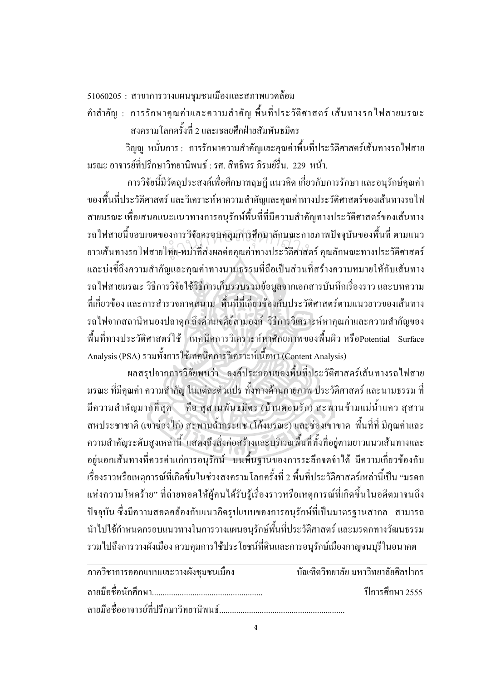51060205 : สาขาการวางแผนชุมชนเมืองและสภาพแวดล้อม

คำสำคัญ : การรักษาคุณค่าและความสำคัญ พื้นที่ประวัติศาสตร์ เส้นทางรถไฟสายมรณะ สงครามโลกครั้งที่ 2 และเชลยศึกฝ่ายสัมพันธมิตร

วิญญู หมั่นการ : การรักษาความสำคัญและคุณค่าพื้นที่ประวัติศาสตร์เส้นทางรถไฟสาย มรณะ อาจารย์ที่ปรึกษาวิทยานิพนธ์ : รศ. สิทธิพร ภิรมย์รื่น. 229 หน้า.

การวิจัยนี้มีวัตถุประสงค์เพื่อศึกษาทฤษฎี แนวคิด เกี่ยวกับการรักษา และอนุรักษ์คุณค่า ของพื้นที่ประวัติศาสตร์ และวิเคราะห์หาความสำคัญและคุณค่าทางประวัติศาสตร์ของเส้นทางรถไฟ สายมรณะ เพื่อเสนอแนะแนวทางการอนุรักษ์พื้นที่ที่มีความสำคัญทางประวัติศาสตร์ของเส้นทาง รถ ไฟสายนี้ขอบเขตของการวิจัยครอบคลุมการศึกษาลักษณะกายภาพปัจจุบันของพื้นที่ ตามแนว รถไฟสายนี้ขอบเขตของการวิจัยครอบคลุมการศึกษาลักษณะกายภาพปัจจุบันของพื้นที่ ตามแนว<br>ยาวเส้นทางรถไฟสายไทย-พม่าที่ส่งผลต่อคุณก่าทางประวัติศาสตร์ คุณลักษณะทางประวัติศาสตร์ และบ่งชี้ถึงความสำคัญและคุณค่าทางนามธรรมที่ถือเป็นส่วนที่สร้างความหมายให้กับเส้นทาง รถไฟสายมรณะ วิธีการวิจัยใช้วิธีการเก็บรวบรวมข้อมูลจากเอกสารบันทึกเรื่องราว และบทความ ที่เกี่ยวข้อง และการสำรวจภาคสนาม พื้นที่ที่เกี่ยวข้องกับประวัติศาสตร์ตามแนวยาวของเส้นทาง รถไฟจากสถานีหนองปลาดุก ถึงด่านเจดีย์สามองค์ วิธีการวิเคราะห์หาคุณค่าและความสำคัญของ พื้นที่ทางประวัติศาสตร์ใช้ เทคนิคการวิเคราะห์หาศักยภาพของพื้นผิว หรือPotential Surface Analysis (PSA) รวมทั้งการใช้เทคนิคการวิเคราะห์เนื้อหา (Content Analysis)

ผลสรุปจากการวิจัยพบว่า องค์ประกอบของพื้นที่ประวัติศาสตร์เส้นทางรถไฟสาย มรณะ ที่มีคุณค่า ความสำคัญ ในแต่ละตัวแปร ทั้งทางด้านกายภาพ ประวัติศาสตร์ และนามธรรม ที่ มีความสำคัญมากที่สุด ( คือ สุสานพันธมิตร (บ้านดอนรัก) สะพานข้ามแม่น้ำแคว สุสาน สหประชาชาติ (เขาช่องใก่) สะพานถ้ำกระแซ (โค้งมรณะ) และช่องเขาขาด พื้นที่ที่ มีคุณค่าและ ความสำคัญระดับสูงเหล่านี้ แสดงถึงสิ่งก่อสร้างและบริเวณพื้นที่ทั้งที่อยู่ตามยาวแนวเส้นทางและ อยู่นอกเส้นทางที่ควรค่าแก่การอนุรักษ์ บนพื้นฐานของการระลึกจดจำได้ มีความเกี่ยวข้องกับ เรื่องราวหรือเหตุการณ์ที่เกิดขึ้นในช่วงสงครามโลกครั้งที่ 2 พื้นที่ประวัติศาสตร์เหล่านี้เป็น "มรดก แห่งความโหคร้าย" ที่ถ่ายทอดให้ผู้คนได้รับรู้เรื่องราวหรือเหตุการณ์ที่เกิดขึ้นในอดีตมาจนถึง ปัจจุบัน ซึ่งมีความสอดคล้องกับแนวคิดรูปแบบของการอนุรักษ์ที่เป็นมาตรฐานสากล สามารถ นำไปใช้กำหนดกรอบแนวทางในการวางแผนอนุรักษ์พื้นที่ประวัติศาสตร์ และมรดกทางวัฒนธรรม รวมใปถึงการวางผังเมือง ควบคุมการใช้ประโยชน์ที่ดินและการอนุรักษ์เมืองกาญจนบุรีในอนาคต

| ภาควิชาการออกแบบและวางผังชุมชนเมือง | ำเันฑิตวิทยาลัย มหาวิทยาลัยศิลปากร |
|-------------------------------------|------------------------------------|
|                                     | ์ ปีการศึกษา 2555                  |
|                                     |                                    |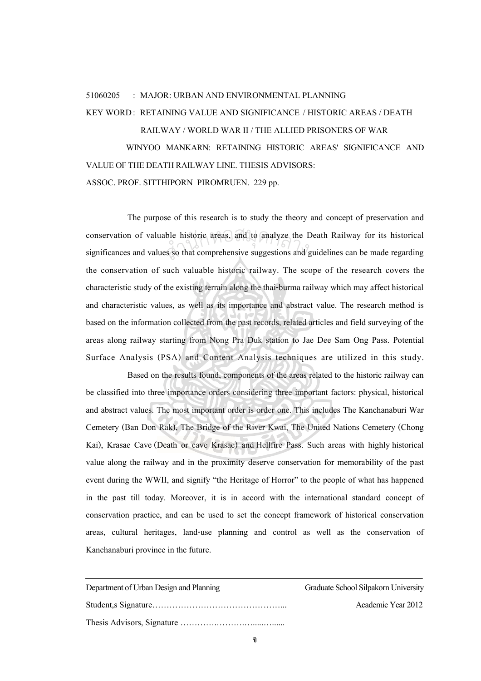## 51060205 : MAJOR: URBAN AND ENVIRONMENTAL PLANNING

## KEY WORD : RETAINING VALUE AND SIGNIFICANCE / HISTORIC AREAS / DEATH

## RAILWAY / WORLD WAR II / THE ALLIED PRISONERS OF WAR

WINYOO MANKARN: RETAINING HISTORIC AREAS' SIGNIFICANCE AND VALUE OF THE DEATH RAILWAY LINE. THESIS ADVISORS: ASSOC. PROF. SITTHIPORN PIROMRUEN. 229 pp.

The purpose of this research is to study the theory and concept of preservation and conservation of valuable historic areas, and to analyze the Death Railway for its historical significances and values so that comprehensive suggestions and guidelines can be made regarding conservation of values so that comprehensive suggestions and guidelines can be made regarding the conservation of such valuable historic railway. The scope of the research covers the characteristic study of the existing terrain along the thai-burma railway which may affect historical and characteristic values, as well as its importance and abstract value. The research method is based on the information collected from the past records, related articles and field surveying of the areas along railway starting from Nong Pra Duk station to Jae Dee Sam Ong Pass. Potential Surface Analysis (PSA) and Content Analysis techniques are utilized in this study.

Based on the results found, components of the areas related to the historic railway can be classified into three importance orders considering three important factors: physical, historical and abstract values. The most important order is order one. This includes The Kanchanaburi War Cemetery (Ban Don Rak), The Bridge of the River Kwai, The United Nations Cemetery (Chong Kai), Krasae Cave (Death or cave Krasae) and Hellfire Pass. Such areas with highly historical value along the railway and in the proximity deserve conservation for memorability of the past event during the WWII, and signify "the Heritage of Horror" to the people of what has happened in the past till today. Moreover, it is in accord with the international standard concept of conservation practice, and can be used to set the concept framework of historical conservation areas, cultural heritages, land-use planning and control as well as the conservation of Kanchanaburi province in the future.

| Department of Urban Design and Planning | Graduate School Silpakorn University |
|-----------------------------------------|--------------------------------------|
|                                         | Academic Year 2012                   |
|                                         |                                      |